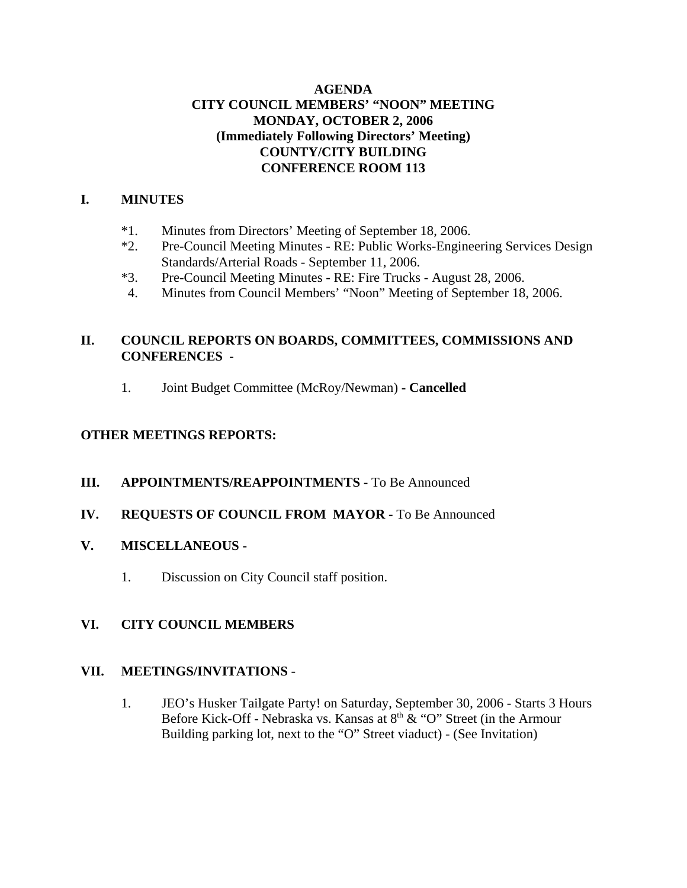### **AGENDA CITY COUNCIL MEMBERS' "NOON" MEETING MONDAY, OCTOBER 2, 2006 (Immediately Following Directors' Meeting) COUNTY/CITY BUILDING CONFERENCE ROOM 113**

### **I. MINUTES**

- \*1. Minutes from Directors' Meeting of September 18, 2006.
- \*2. Pre-Council Meeting Minutes RE: Public Works-Engineering Services Design Standards/Arterial Roads - September 11, 2006.
- \*3. Pre-Council Meeting Minutes RE: Fire Trucks August 28, 2006.
- 4. Minutes from Council Members' "Noon" Meeting of September 18, 2006.

## **II. COUNCIL REPORTS ON BOARDS, COMMITTEES, COMMISSIONS AND CONFERENCES -**

1. Joint Budget Committee (McRoy/Newman) **- Cancelled**

## **OTHER MEETINGS REPORTS:**

- **III.** APPOINTMENTS/REAPPOINTMENTS To Be Announced
- **IV. REQUESTS OF COUNCIL FROM MAYOR -** To Be Announced

# **V. MISCELLANEOUS -**

1. Discussion on City Council staff position.

### **VI. CITY COUNCIL MEMBERS**

### **VII. MEETINGS/INVITATIONS** -

1. JEO's Husker Tailgate Party! on Saturday, September 30, 2006 - Starts 3 Hours Before Kick-Off - Nebraska vs. Kansas at  $8<sup>th</sup>$  & "O" Street (in the Armour Building parking lot, next to the "O" Street viaduct) - (See Invitation)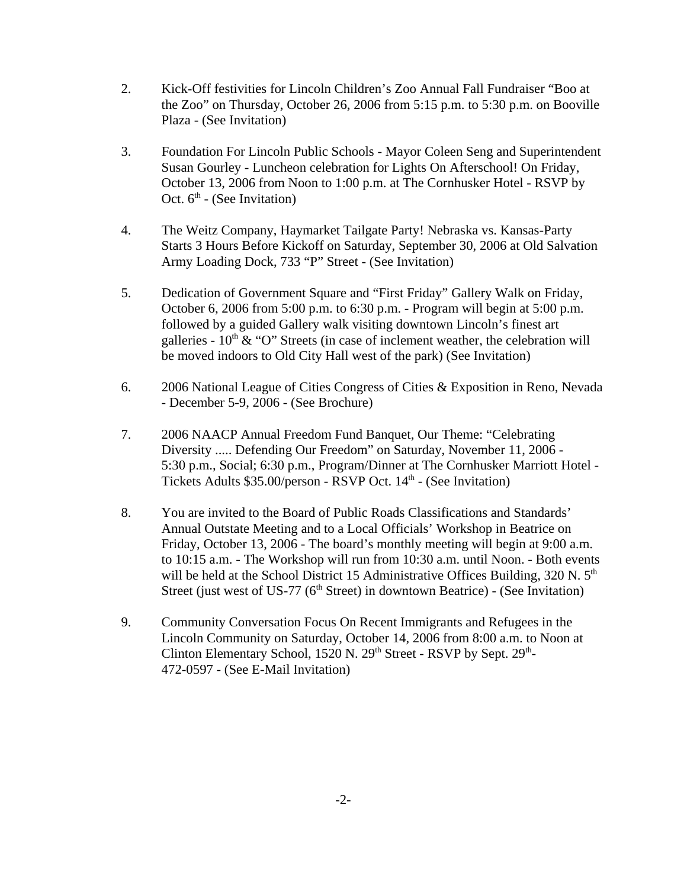- 2. Kick-Off festivities for Lincoln Children's Zoo Annual Fall Fundraiser "Boo at the Zoo" on Thursday, October 26, 2006 from 5:15 p.m. to 5:30 p.m. on Booville Plaza - (See Invitation)
- 3. Foundation For Lincoln Public Schools Mayor Coleen Seng and Superintendent Susan Gourley - Luncheon celebration for Lights On Afterschool! On Friday, October 13, 2006 from Noon to 1:00 p.m. at The Cornhusker Hotel - RSVP by Oct.  $6<sup>th</sup>$  - (See Invitation)
- 4. The Weitz Company, Haymarket Tailgate Party! Nebraska vs. Kansas-Party Starts 3 Hours Before Kickoff on Saturday, September 30, 2006 at Old Salvation Army Loading Dock, 733 "P" Street - (See Invitation)
- 5. Dedication of Government Square and "First Friday" Gallery Walk on Friday, October 6, 2006 from 5:00 p.m. to 6:30 p.m. - Program will begin at 5:00 p.m. followed by a guided Gallery walk visiting downtown Lincoln's finest art galleries -  $10^{th}$  & "O" Streets (in case of inclement weather, the celebration will be moved indoors to Old City Hall west of the park) (See Invitation)
- 6. 2006 National League of Cities Congress of Cities & Exposition in Reno, Nevada - December 5-9, 2006 - (See Brochure)
- 7. 2006 NAACP Annual Freedom Fund Banquet, Our Theme: "Celebrating Diversity ..... Defending Our Freedom" on Saturday, November 11, 2006 - 5:30 p.m., Social; 6:30 p.m., Program/Dinner at The Cornhusker Marriott Hotel - Tickets Adults \$35.00/person - RSVP Oct. 14<sup>th</sup> - (See Invitation)
- 8. You are invited to the Board of Public Roads Classifications and Standards' Annual Outstate Meeting and to a Local Officials' Workshop in Beatrice on Friday, October 13, 2006 - The board's monthly meeting will begin at 9:00 a.m. to 10:15 a.m. - The Workshop will run from 10:30 a.m. until Noon. - Both events will be held at the School District 15 Administrative Offices Building,  $320 \text{ N}$ .  $5^{\text{th}}$ Street (just west of US-77 ( $6<sup>th</sup>$  Street) in downtown Beatrice) - (See Invitation)
- 9. Community Conversation Focus On Recent Immigrants and Refugees in the Lincoln Community on Saturday, October 14, 2006 from 8:00 a.m. to Noon at Clinton Elementary School,  $1520$  N.  $29<sup>th</sup>$  Street - RSVP by Sept.  $29<sup>th</sup>$ -472-0597 - (See E-Mail Invitation)